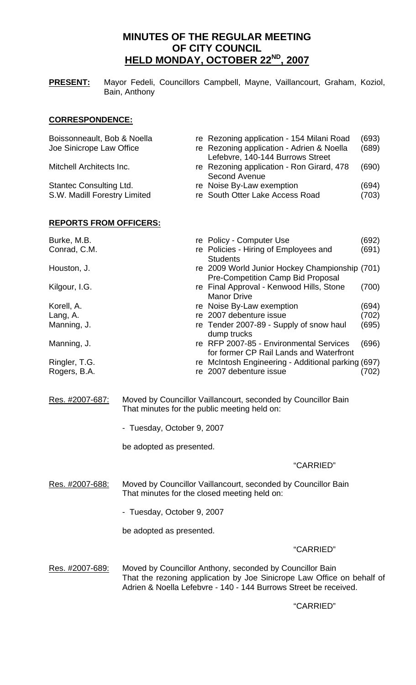# **MINUTES OF THE REGULAR MEETING OF CITY COUNCIL HELD MONDAY, OCTOBER 22ND, 2007**

**PRESENT:** Mayor Fedeli, Councillors Campbell, Mayne, Vaillancourt, Graham, Koziol, Bain, Anthony

# **CORRESPONDENCE:**

| Boissonneault, Bob & Noella    | re Rezoning application - 154 Milani Road                                                  | (693) |
|--------------------------------|--------------------------------------------------------------------------------------------|-------|
| Joe Sinicrope Law Office       | re Rezoning application - Adrien & Noella<br>Lefebvre, 140-144 Burrows Street              | (689) |
| Mitchell Architects Inc.       | re Rezoning application - Ron Girard, 478<br><b>Second Avenue</b>                          | (690) |
| <b>Stantec Consulting Ltd.</b> | re Noise By-Law exemption                                                                  | (694) |
| S.W. Madill Forestry Limited   | re South Otter Lake Access Road                                                            | (703) |
| <u>REPORTS FROM OFFICERS:</u>  |                                                                                            |       |
| Burke, M.B.                    | re Policy - Computer Use                                                                   | (692) |
| Conrad, C.M.                   | re Policies - Hiring of Employees and<br><b>Students</b>                                   | (691) |
| Houston, J.                    | re 2009 World Junior Hockey Championship (701)<br><b>Pre-Competition Camp Bid Proposal</b> |       |
| Kilgour, I.G.                  | re Final Approval - Kenwood Hills, Stone<br><b>Manor Drive</b>                             | (700) |
| Korell, A.                     | re Noise By-Law exemption                                                                  | (694) |
| Lang, A.                       | re 2007 debenture issue                                                                    | (702) |
| Manning, J.                    | re Tender 2007-89 - Supply of snow haul<br>dump trucks                                     | (695) |
| Manning, J.                    | re RFP 2007-85 - Environmental Services<br>for former CP Rail Lands and Waterfront         | (696) |
| Ringler, T.G.                  | re McIntosh Engineering - Additional parking (697)                                         |       |
| Rogers, B.A.                   | re 2007 debenture issue                                                                    | (702) |

- Res. #2007-687: Moved by Councillor Vaillancourt, seconded by Councillor Bain That minutes for the public meeting held on:
	- Tuesday, October 9, 2007

be adopted as presented.

#### "CARRIED"

Res. #2007-688: Moved by Councillor Vaillancourt, seconded by Councillor Bain That minutes for the closed meeting held on:

- Tuesday, October 9, 2007

be adopted as presented.

#### "CARRIED"

Res. #2007-689: Moved by Councillor Anthony, seconded by Councillor Bain That the rezoning application by Joe Sinicrope Law Office on behalf of Adrien & Noella Lefebvre - 140 - 144 Burrows Street be received.

### "CARRIED"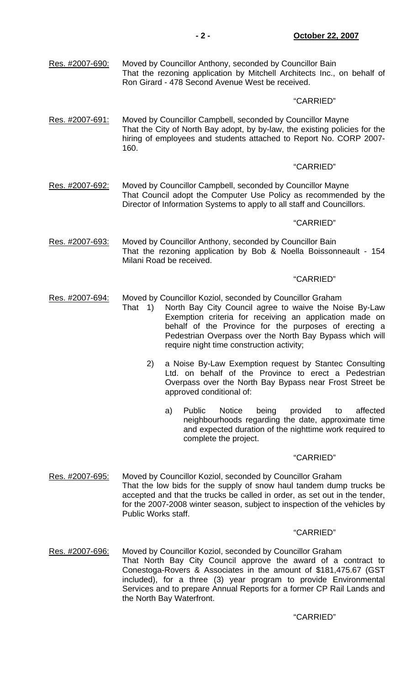Res. #2007-690: Moved by Councillor Anthony, seconded by Councillor Bain That the rezoning application by Mitchell Architects Inc., on behalf of Ron Girard - 478 Second Avenue West be received.

# "CARRIED"

Res. #2007-691: Moved by Councillor Campbell, seconded by Councillor Mayne That the City of North Bay adopt, by by-law, the existing policies for the hiring of employees and students attached to Report No. CORP 2007- 160.

# "CARRIED"

Res. #2007-692: Moved by Councillor Campbell, seconded by Councillor Mayne That Council adopt the Computer Use Policy as recommended by the Director of Information Systems to apply to all staff and Councillors.

# "CARRIED"

Res. #2007-693: Moved by Councillor Anthony, seconded by Councillor Bain That the rezoning application by Bob & Noella Boissonneault - 154 Milani Road be received.

# "CARRIED"

- Res. #2007-694: Moved by Councillor Koziol, seconded by Councillor Graham
	- That 1) North Bay City Council agree to waive the Noise By-Law Exemption criteria for receiving an application made on behalf of the Province for the purposes of erecting a Pedestrian Overpass over the North Bay Bypass which will require night time construction activity;
		- 2) a Noise By-Law Exemption request by Stantec Consulting Ltd. on behalf of the Province to erect a Pedestrian Overpass over the North Bay Bypass near Frost Street be approved conditional of:
- a) Public Notice being provided to affected neighbourhoods regarding the date, approximate time and expected duration of the nighttime work required to complete the project.

#### "CARRIED"

Res. #2007-695: Moved by Councillor Koziol, seconded by Councillor Graham That the low bids for the supply of snow haul tandem dump trucks be accepted and that the trucks be called in order, as set out in the tender, for the 2007-2008 winter season, subject to inspection of the vehicles by Public Works staff.

# "CARRIED"

Res. #2007-696: Moved by Councillor Koziol, seconded by Councillor Graham That North Bay City Council approve the award of a contract to Conestoga-Rovers & Associates in the amount of \$181,475.67 (GST included), for a three (3) year program to provide Environmental Services and to prepare Annual Reports for a former CP Rail Lands and the North Bay Waterfront.

# "CARRIED"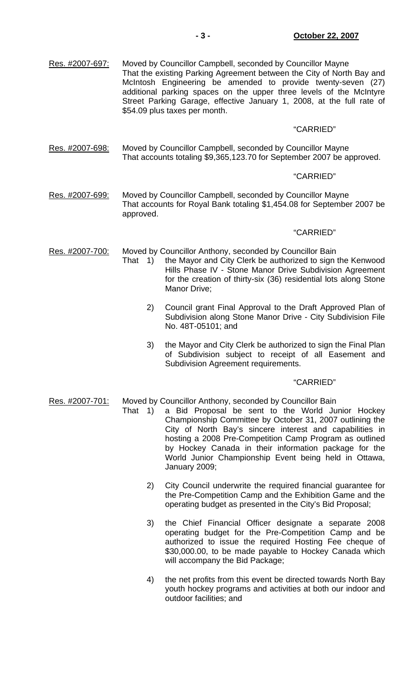| Res. #2007-697: | Moved by Councillor Campbell, seconded by Councillor Mayne<br>That the existing Parking Agreement between the City of North Bay and<br>McIntosh Engineering be amended to provide twenty-seven (27)<br>additional parking spaces on the upper three levels of the McIntyre<br>Street Parking Garage, effective January 1, 2008, at the full rate of<br>\$54.09 plus taxes per month. |                                                                                                                                                                                                                                                                                                                                                                                                                                     |  |
|-----------------|--------------------------------------------------------------------------------------------------------------------------------------------------------------------------------------------------------------------------------------------------------------------------------------------------------------------------------------------------------------------------------------|-------------------------------------------------------------------------------------------------------------------------------------------------------------------------------------------------------------------------------------------------------------------------------------------------------------------------------------------------------------------------------------------------------------------------------------|--|
|                 |                                                                                                                                                                                                                                                                                                                                                                                      | "CARRIED"                                                                                                                                                                                                                                                                                                                                                                                                                           |  |
| Res. #2007-698: | Moved by Councillor Campbell, seconded by Councillor Mayne<br>That accounts totaling \$9,365,123.70 for September 2007 be approved.                                                                                                                                                                                                                                                  |                                                                                                                                                                                                                                                                                                                                                                                                                                     |  |
|                 |                                                                                                                                                                                                                                                                                                                                                                                      | "CARRIED"                                                                                                                                                                                                                                                                                                                                                                                                                           |  |
| Res. #2007-699: | Moved by Councillor Campbell, seconded by Councillor Mayne<br>That accounts for Royal Bank totaling \$1,454.08 for September 2007 be<br>approved.                                                                                                                                                                                                                                    |                                                                                                                                                                                                                                                                                                                                                                                                                                     |  |
|                 |                                                                                                                                                                                                                                                                                                                                                                                      | "CARRIED"                                                                                                                                                                                                                                                                                                                                                                                                                           |  |
| Res. #2007-700: | That 1)                                                                                                                                                                                                                                                                                                                                                                              | Moved by Councillor Anthony, seconded by Councillor Bain<br>the Mayor and City Clerk be authorized to sign the Kenwood<br>Hills Phase IV - Stone Manor Drive Subdivision Agreement<br>for the creation of thirty-six (36) residential lots along Stone<br>Manor Drive;                                                                                                                                                              |  |
|                 | 2)                                                                                                                                                                                                                                                                                                                                                                                   | Council grant Final Approval to the Draft Approved Plan of<br>Subdivision along Stone Manor Drive - City Subdivision File<br>No. 48T-05101; and                                                                                                                                                                                                                                                                                     |  |
|                 | 3)                                                                                                                                                                                                                                                                                                                                                                                   | the Mayor and City Clerk be authorized to sign the Final Plan<br>of Subdivision subject to receipt of all Easement and<br>Subdivision Agreement requirements.                                                                                                                                                                                                                                                                       |  |
|                 |                                                                                                                                                                                                                                                                                                                                                                                      | "CARRIED"                                                                                                                                                                                                                                                                                                                                                                                                                           |  |
| Res. #2007-701: | That 1)                                                                                                                                                                                                                                                                                                                                                                              | Moved by Councillor Anthony, seconded by Councillor Bain<br>a Bid Proposal be sent to the World Junior Hockey<br>Championship Committee by October 31, 2007 outlining the<br>City of North Bay's sincere interest and capabilities in<br>hosting a 2008 Pre-Competition Camp Program as outlined<br>by Hockey Canada in their information package for the<br>World Junior Championship Event being held in Ottawa,<br>January 2009; |  |
|                 | 2)                                                                                                                                                                                                                                                                                                                                                                                   | City Council underwrite the required financial guarantee for<br>the Pre-Competition Camp and the Exhibition Game and the<br>operating budget as presented in the City's Bid Proposal;                                                                                                                                                                                                                                               |  |

- 3) the Chief Financial Officer designate a separate 2008 operating budget for the Pre-Competition Camp and be authorized to issue the required Hosting Fee cheque of \$30,000.00, to be made payable to Hockey Canada which will accompany the Bid Package;
- 4) the net profits from this event be directed towards North Bay youth hockey programs and activities at both our indoor and outdoor facilities; and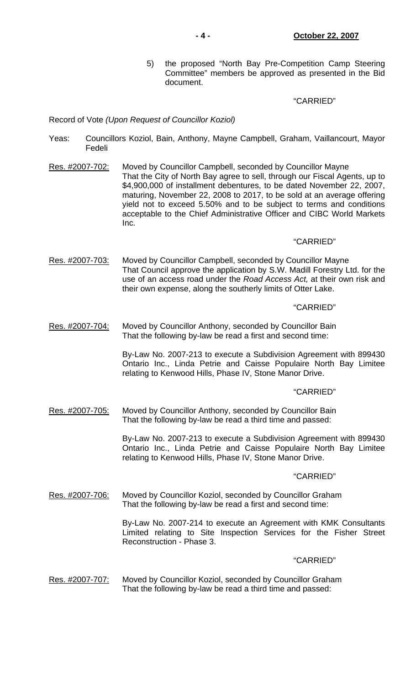5) the proposed "North Bay Pre-Competition Camp Steering Committee" members be approved as presented in the Bid document.

# "CARRIED"

Record of Vote *(Upon Request of Councillor Koziol)*

- Yeas: Councillors Koziol, Bain, Anthony, Mayne Campbell, Graham, Vaillancourt, Mayor Fedeli
- Res. #2007-702: Moved by Councillor Campbell, seconded by Councillor Mayne That the City of North Bay agree to sell, through our Fiscal Agents, up to \$4,900,000 of installment debentures, to be dated November 22, 2007, maturing, November 22, 2008 to 2017, to be sold at an average offering yield not to exceed 5.50% and to be subject to terms and conditions acceptable to the Chief Administrative Officer and CIBC World Markets Inc.

### "CARRIED"

Res. #2007-703: Moved by Councillor Campbell, seconded by Councillor Mayne That Council approve the application by S.W. Madill Forestry Ltd. for the use of an access road under the *Road Access Act,* at their own risk and their own expense, along the southerly limits of Otter Lake.

### "CARRIED"

Res. #2007-704: Moved by Councillor Anthony, seconded by Councillor Bain That the following by-law be read a first and second time:

> By-Law No. 2007-213 to execute a Subdivision Agreement with 899430 Ontario Inc., Linda Petrie and Caisse Populaire North Bay Limitee relating to Kenwood Hills, Phase IV, Stone Manor Drive.

#### "CARRIED"

Res. #2007-705: Moved by Councillor Anthony, seconded by Councillor Bain That the following by-law be read a third time and passed:

> By-Law No. 2007-213 to execute a Subdivision Agreement with 899430 Ontario Inc., Linda Petrie and Caisse Populaire North Bay Limitee relating to Kenwood Hills, Phase IV, Stone Manor Drive.

#### "CARRIED"

Res. #2007-706: Moved by Councillor Koziol, seconded by Councillor Graham That the following by-law be read a first and second time:

> By-Law No. 2007-214 to execute an Agreement with KMK Consultants Limited relating to Site Inspection Services for the Fisher Street Reconstruction - Phase 3.

#### "CARRIED"

Res. #2007-707: Moved by Councillor Koziol, seconded by Councillor Graham That the following by-law be read a third time and passed: